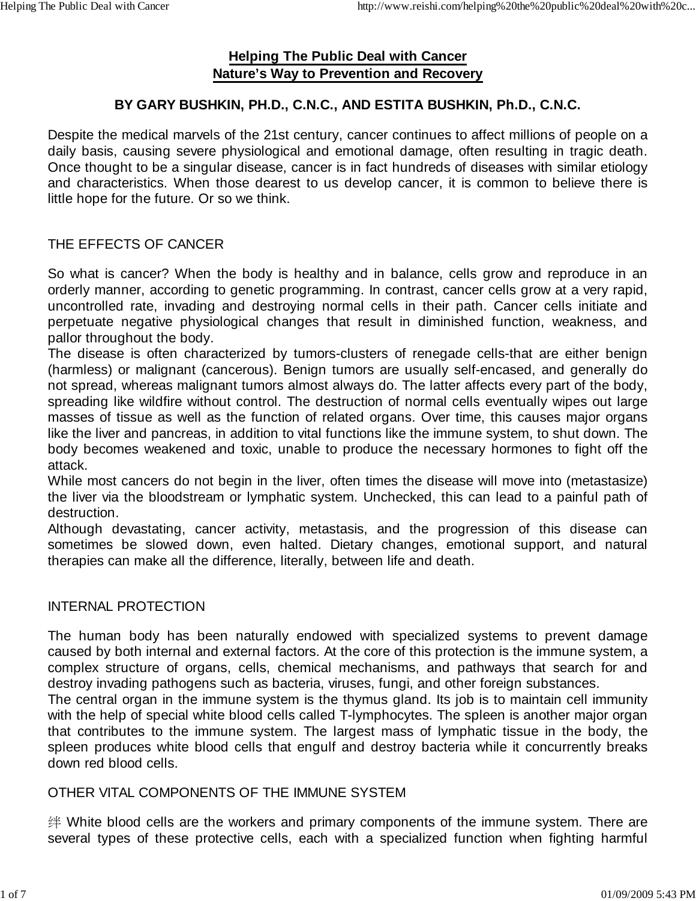# **Helping The Public Deal with Cancer Nature's Way to Prevention and Recovery**

# **BY GARY BUSHKIN, PH.D., C.N.C., AND ESTITA BUSHKIN, Ph.D., C.N.C.**

Despite the medical marvels of the 21st century, cancer continues to affect millions of people on a daily basis, causing severe physiological and emotional damage, often resulting in tragic death. Once thought to be a singular disease, cancer is in fact hundreds of diseases with similar etiology and characteristics. When those dearest to us develop cancer, it is common to believe there is little hope for the future. Or so we think.

## THE EFFECTS OF CANCER

So what is cancer? When the body is healthy and in balance, cells grow and reproduce in an orderly manner, according to genetic programming. In contrast, cancer cells grow at a very rapid, uncontrolled rate, invading and destroying normal cells in their path. Cancer cells initiate and perpetuate negative physiological changes that result in diminished function, weakness, and pallor throughout the body.

The disease is often characterized by tumors-clusters of renegade cells-that are either benign (harmless) or malignant (cancerous). Benign tumors are usually self-encased, and generally do not spread, whereas malignant tumors almost always do. The latter affects every part of the body, spreading like wildfire without control. The destruction of normal cells eventually wipes out large masses of tissue as well as the function of related organs. Over time, this causes major organs like the liver and pancreas, in addition to vital functions like the immune system, to shut down. The body becomes weakened and toxic, unable to produce the necessary hormones to fight off the attack.

While most cancers do not begin in the liver, often times the disease will move into (metastasize) the liver via the bloodstream or lymphatic system. Unchecked, this can lead to a painful path of destruction.

Although devastating, cancer activity, metastasis, and the progression of this disease can sometimes be slowed down, even halted. Dietary changes, emotional support, and natural therapies can make all the difference, literally, between life and death.

### INTERNAL PROTECTION

The human body has been naturally endowed with specialized systems to prevent damage caused by both internal and external factors. At the core of this protection is the immune system, a complex structure of organs, cells, chemical mechanisms, and pathways that search for and destroy invading pathogens such as bacteria, viruses, fungi, and other foreign substances.

The central organ in the immune system is the thymus gland. Its job is to maintain cell immunity with the help of special white blood cells called T-lymphocytes. The spleen is another major organ that contributes to the immune system. The largest mass of lymphatic tissue in the body, the spleen produces white blood cells that engulf and destroy bacteria while it concurrently breaks down red blood cells.

### OTHER VITAL COMPONENTS OF THE IMMUNE SYSTEM

绊 White blood cells are the workers and primary components of the immune system. There are several types of these protective cells, each with a specialized function when fighting harmful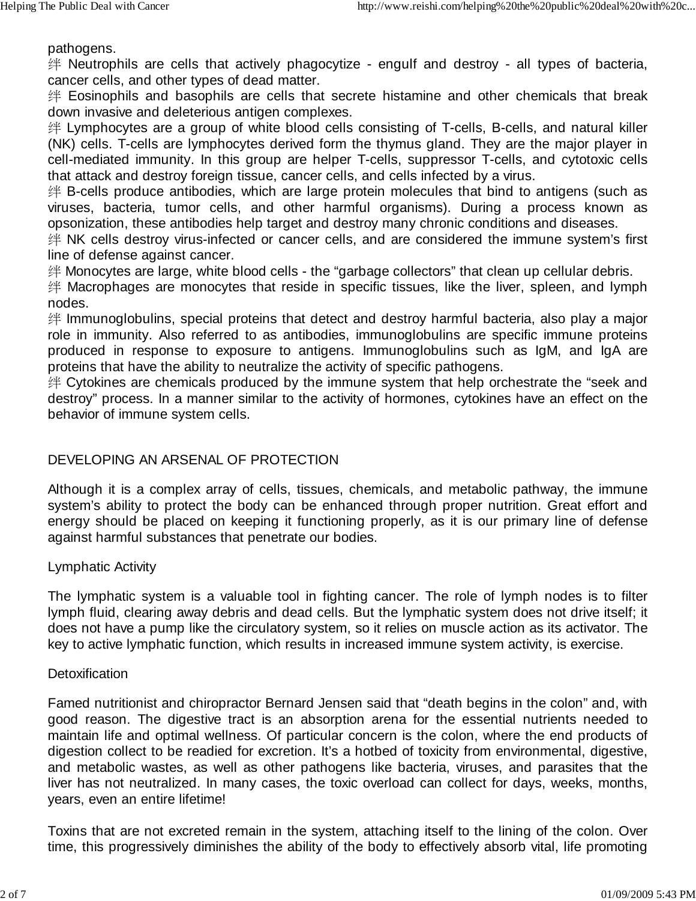pathogens.

绊 Neutrophils are cells that actively phagocytize - engulf and destroy - all types of bacteria, cancer cells, and other types of dead matter.

绊 Eosinophils and basophils are cells that secrete histamine and other chemicals that break down invasive and deleterious antigen complexes.

绊 Lymphocytes are a group of white blood cells consisting of T-cells, B-cells, and natural killer (NK) cells. T-cells are lymphocytes derived form the thymus gland. They are the major player in cell-mediated immunity. In this group are helper T-cells, suppressor T-cells, and cytotoxic cells that attack and destroy foreign tissue, cancer cells, and cells infected by a virus.

绊 B-cells produce antibodies, which are large protein molecules that bind to antigens (such as viruses, bacteria, tumor cells, and other harmful organisms). During a process known as opsonization, these antibodies help target and destroy many chronic conditions and diseases.

绊 NK cells destroy virus-infected or cancer cells, and are considered the immune system's first line of defense against cancer.

绊 Monocytes are large, white blood cells - the "garbage collectors" that clean up cellular debris.

绊 Macrophages are monocytes that reside in specific tissues, like the liver, spleen, and lymph nodes.

绊 Immunoglobulins, special proteins that detect and destroy harmful bacteria, also play a major role in immunity. Also referred to as antibodies, immunoglobulins are specific immune proteins produced in response to exposure to antigens. Immunoglobulins such as IgM, and IgA are proteins that have the ability to neutralize the activity of specific pathogens.

绊 Cytokines are chemicals produced by the immune system that help orchestrate the "seek and destroy" process. In a manner similar to the activity of hormones, cytokines have an effect on the behavior of immune system cells.

## DEVELOPING AN ARSENAL OF PROTECTION

Although it is a complex array of cells, tissues, chemicals, and metabolic pathway, the immune system's ability to protect the body can be enhanced through proper nutrition. Great effort and energy should be placed on keeping it functioning properly, as it is our primary line of defense against harmful substances that penetrate our bodies.

Lymphatic Activity

The lymphatic system is a valuable tool in fighting cancer. The role of lymph nodes is to filter lymph fluid, clearing away debris and dead cells. But the lymphatic system does not drive itself; it does not have a pump like the circulatory system, so it relies on muscle action as its activator. The key to active lymphatic function, which results in increased immune system activity, is exercise.

#### **Detoxification**

Famed nutritionist and chiropractor Bernard Jensen said that "death begins in the colon" and, with good reason. The digestive tract is an absorption arena for the essential nutrients needed to maintain life and optimal wellness. Of particular concern is the colon, where the end products of digestion collect to be readied for excretion. It's a hotbed of toxicity from environmental, digestive, and metabolic wastes, as well as other pathogens like bacteria, viruses, and parasites that the liver has not neutralized. In many cases, the toxic overload can collect for days, weeks, months, years, even an entire lifetime!

Toxins that are not excreted remain in the system, attaching itself to the lining of the colon. Over time, this progressively diminishes the ability of the body to effectively absorb vital, life promoting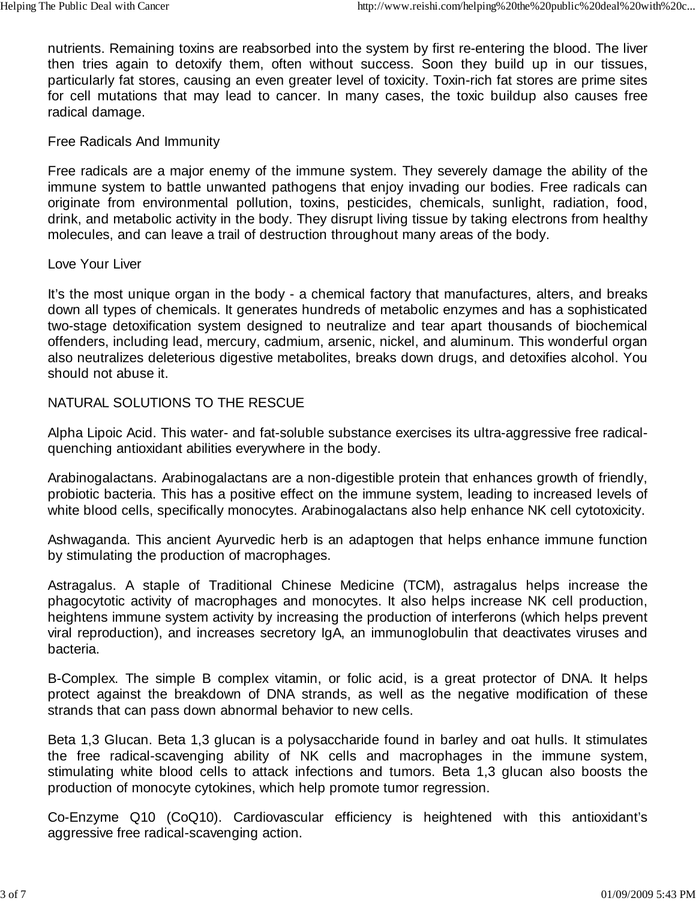nutrients. Remaining toxins are reabsorbed into the system by first re-entering the blood. The liver then tries again to detoxify them, often without success. Soon they build up in our tissues, particularly fat stores, causing an even greater level of toxicity. Toxin-rich fat stores are prime sites for cell mutations that may lead to cancer. In many cases, the toxic buildup also causes free radical damage.

### Free Radicals And Immunity

Free radicals are a major enemy of the immune system. They severely damage the ability of the immune system to battle unwanted pathogens that enjoy invading our bodies. Free radicals can originate from environmental pollution, toxins, pesticides, chemicals, sunlight, radiation, food, drink, and metabolic activity in the body. They disrupt living tissue by taking electrons from healthy molecules, and can leave a trail of destruction throughout many areas of the body.

#### Love Your Liver

It's the most unique organ in the body - a chemical factory that manufactures, alters, and breaks down all types of chemicals. It generates hundreds of metabolic enzymes and has a sophisticated two-stage detoxification system designed to neutralize and tear apart thousands of biochemical offenders, including lead, mercury, cadmium, arsenic, nickel, and aluminum. This wonderful organ also neutralizes deleterious digestive metabolites, breaks down drugs, and detoxifies alcohol. You should not abuse it.

### NATURAL SOLUTIONS TO THE RESCUE

Alpha Lipoic Acid. This water- and fat-soluble substance exercises its ultra-aggressive free radicalquenching antioxidant abilities everywhere in the body.

Arabinogalactans. Arabinogalactans are a non-digestible protein that enhances growth of friendly, probiotic bacteria. This has a positive effect on the immune system, leading to increased levels of white blood cells, specifically monocytes. Arabinogalactans also help enhance NK cell cytotoxicity.

Ashwaganda. This ancient Ayurvedic herb is an adaptogen that helps enhance immune function by stimulating the production of macrophages.

Astragalus. A staple of Traditional Chinese Medicine (TCM), astragalus helps increase the phagocytotic activity of macrophages and monocytes. It also helps increase NK cell production, heightens immune system activity by increasing the production of interferons (which helps prevent viral reproduction), and increases secretory IgA, an immunoglobulin that deactivates viruses and bacteria.

B-Complex. The simple B complex vitamin, or folic acid, is a great protector of DNA. It helps protect against the breakdown of DNA strands, as well as the negative modification of these strands that can pass down abnormal behavior to new cells.

Beta 1,3 Glucan. Beta 1,3 glucan is a polysaccharide found in barley and oat hulls. It stimulates the free radical-scavenging ability of NK cells and macrophages in the immune system, stimulating white blood cells to attack infections and tumors. Beta 1,3 glucan also boosts the production of monocyte cytokines, which help promote tumor regression.

Co-Enzyme Q10 (CoQ10). Cardiovascular efficiency is heightened with this antioxidant's aggressive free radical-scavenging action.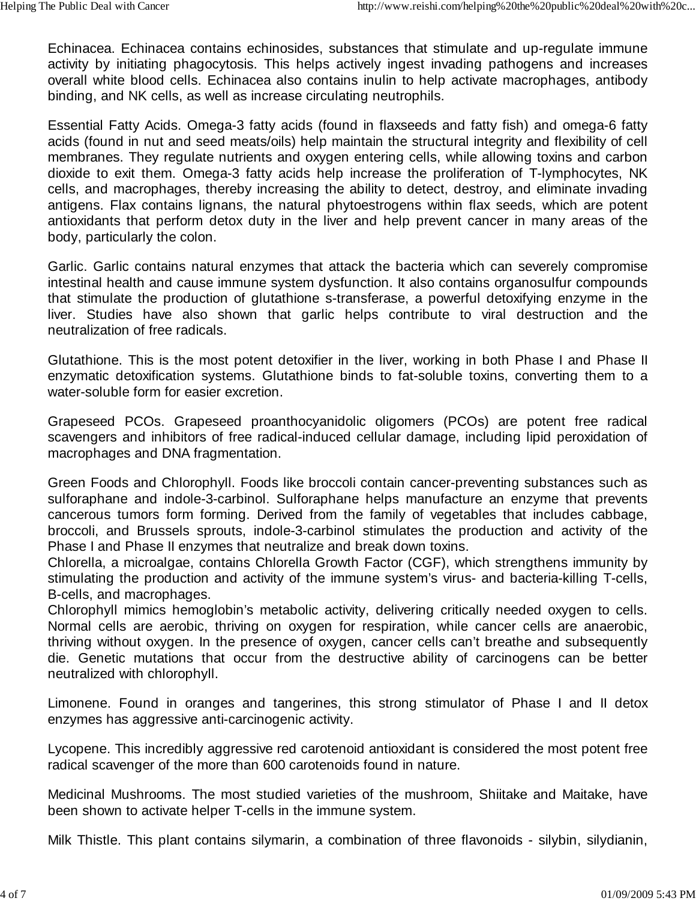Echinacea. Echinacea contains echinosides, substances that stimulate and up-regulate immune activity by initiating phagocytosis. This helps actively ingest invading pathogens and increases overall white blood cells. Echinacea also contains inulin to help activate macrophages, antibody binding, and NK cells, as well as increase circulating neutrophils.

Essential Fatty Acids. Omega-3 fatty acids (found in flaxseeds and fatty fish) and omega-6 fatty acids (found in nut and seed meats/oils) help maintain the structural integrity and flexibility of cell membranes. They regulate nutrients and oxygen entering cells, while allowing toxins and carbon dioxide to exit them. Omega-3 fatty acids help increase the proliferation of T-lymphocytes, NK cells, and macrophages, thereby increasing the ability to detect, destroy, and eliminate invading antigens. Flax contains lignans, the natural phytoestrogens within flax seeds, which are potent antioxidants that perform detox duty in the liver and help prevent cancer in many areas of the body, particularly the colon.

Garlic. Garlic contains natural enzymes that attack the bacteria which can severely compromise intestinal health and cause immune system dysfunction. It also contains organosulfur compounds that stimulate the production of glutathione s-transferase, a powerful detoxifying enzyme in the liver. Studies have also shown that garlic helps contribute to viral destruction and the neutralization of free radicals.

Glutathione. This is the most potent detoxifier in the liver, working in both Phase I and Phase II enzymatic detoxification systems. Glutathione binds to fat-soluble toxins, converting them to a water-soluble form for easier excretion.

Grapeseed PCOs. Grapeseed proanthocyanidolic oligomers (PCOs) are potent free radical scavengers and inhibitors of free radical-induced cellular damage, including lipid peroxidation of macrophages and DNA fragmentation.

Green Foods and Chlorophyll. Foods like broccoli contain cancer-preventing substances such as sulforaphane and indole-3-carbinol. Sulforaphane helps manufacture an enzyme that prevents cancerous tumors form forming. Derived from the family of vegetables that includes cabbage, broccoli, and Brussels sprouts, indole-3-carbinol stimulates the production and activity of the Phase I and Phase II enzymes that neutralize and break down toxins.

Chlorella, a microalgae, contains Chlorella Growth Factor (CGF), which strengthens immunity by stimulating the production and activity of the immune system's virus- and bacteria-killing T-cells, B-cells, and macrophages.

Chlorophyll mimics hemoglobin's metabolic activity, delivering critically needed oxygen to cells. Normal cells are aerobic, thriving on oxygen for respiration, while cancer cells are anaerobic, thriving without oxygen. In the presence of oxygen, cancer cells can't breathe and subsequently die. Genetic mutations that occur from the destructive ability of carcinogens can be better neutralized with chlorophyll.

Limonene. Found in oranges and tangerines, this strong stimulator of Phase I and II detox enzymes has aggressive anti-carcinogenic activity.

Lycopene. This incredibly aggressive red carotenoid antioxidant is considered the most potent free radical scavenger of the more than 600 carotenoids found in nature.

Medicinal Mushrooms. The most studied varieties of the mushroom, Shiitake and Maitake, have been shown to activate helper T-cells in the immune system.

Milk Thistle. This plant contains silymarin, a combination of three flavonoids - silybin, silydianin,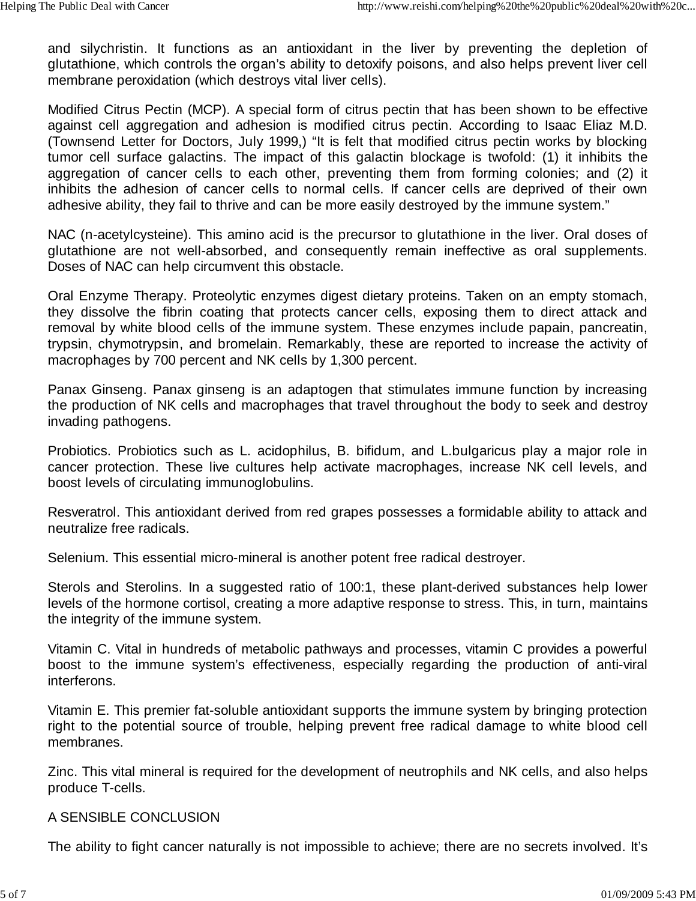and silychristin. It functions as an antioxidant in the liver by preventing the depletion of glutathione, which controls the organ's ability to detoxify poisons, and also helps prevent liver cell membrane peroxidation (which destroys vital liver cells).

Modified Citrus Pectin (MCP). A special form of citrus pectin that has been shown to be effective against cell aggregation and adhesion is modified citrus pectin. According to Isaac Eliaz M.D. (Townsend Letter for Doctors, July 1999,) "It is felt that modified citrus pectin works by blocking tumor cell surface galactins. The impact of this galactin blockage is twofold: (1) it inhibits the aggregation of cancer cells to each other, preventing them from forming colonies; and (2) it inhibits the adhesion of cancer cells to normal cells. If cancer cells are deprived of their own adhesive ability, they fail to thrive and can be more easily destroyed by the immune system."

NAC (n-acetylcysteine). This amino acid is the precursor to glutathione in the liver. Oral doses of glutathione are not well-absorbed, and consequently remain ineffective as oral supplements. Doses of NAC can help circumvent this obstacle.

Oral Enzyme Therapy. Proteolytic enzymes digest dietary proteins. Taken on an empty stomach, they dissolve the fibrin coating that protects cancer cells, exposing them to direct attack and removal by white blood cells of the immune system. These enzymes include papain, pancreatin, trypsin, chymotrypsin, and bromelain. Remarkably, these are reported to increase the activity of macrophages by 700 percent and NK cells by 1,300 percent.

Panax Ginseng. Panax ginseng is an adaptogen that stimulates immune function by increasing the production of NK cells and macrophages that travel throughout the body to seek and destroy invading pathogens.

Probiotics. Probiotics such as L. acidophilus, B. bifidum, and L.bulgaricus play a major role in cancer protection. These live cultures help activate macrophages, increase NK cell levels, and boost levels of circulating immunoglobulins.

Resveratrol. This antioxidant derived from red grapes possesses a formidable ability to attack and neutralize free radicals.

Selenium. This essential micro-mineral is another potent free radical destroyer.

Sterols and Sterolins. In a suggested ratio of 100:1, these plant-derived substances help lower levels of the hormone cortisol, creating a more adaptive response to stress. This, in turn, maintains the integrity of the immune system.

Vitamin C. Vital in hundreds of metabolic pathways and processes, vitamin C provides a powerful boost to the immune system's effectiveness, especially regarding the production of anti-viral interferons.

Vitamin E. This premier fat-soluble antioxidant supports the immune system by bringing protection right to the potential source of trouble, helping prevent free radical damage to white blood cell membranes.

Zinc. This vital mineral is required for the development of neutrophils and NK cells, and also helps produce T-cells.

### A SENSIBLE CONCLUSION

The ability to fight cancer naturally is not impossible to achieve; there are no secrets involved. It's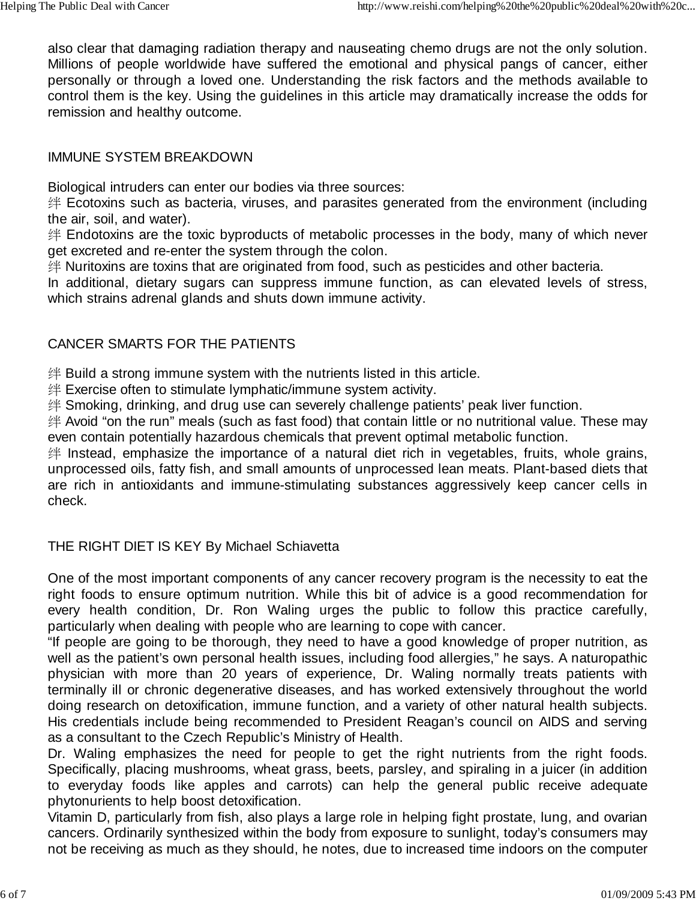also clear that damaging radiation therapy and nauseating chemo drugs are not the only solution. Millions of people worldwide have suffered the emotional and physical pangs of cancer, either personally or through a loved one. Understanding the risk factors and the methods available to control them is the key. Using the guidelines in this article may dramatically increase the odds for remission and healthy outcome.

### IMMUNE SYSTEM BREAKDOWN

Biological intruders can enter our bodies via three sources:

绊 Ecotoxins such as bacteria, viruses, and parasites generated from the environment (including the air, soil, and water).

绊 Endotoxins are the toxic byproducts of metabolic processes in the body, many of which never get excreted and re-enter the system through the colon.

绊 Nuritoxins are toxins that are originated from food, such as pesticides and other bacteria.

In additional, dietary sugars can suppress immune function, as can elevated levels of stress, which strains adrenal glands and shuts down immune activity.

# CANCER SMARTS FOR THE PATIENTS

绊 Build a strong immune system with the nutrients listed in this article.

绊 Exercise often to stimulate lymphatic/immune system activity.

绊 Smoking, drinking, and drug use can severely challenge patients' peak liver function.

绊 Avoid "on the run" meals (such as fast food) that contain little or no nutritional value. These may even contain potentially hazardous chemicals that prevent optimal metabolic function.

绊 Instead, emphasize the importance of a natural diet rich in vegetables, fruits, whole grains, unprocessed oils, fatty fish, and small amounts of unprocessed lean meats. Plant-based diets that are rich in antioxidants and immune-stimulating substances aggressively keep cancer cells in check.

## THE RIGHT DIET IS KEY By Michael Schiavetta

One of the most important components of any cancer recovery program is the necessity to eat the right foods to ensure optimum nutrition. While this bit of advice is a good recommendation for every health condition, Dr. Ron Waling urges the public to follow this practice carefully, particularly when dealing with people who are learning to cope with cancer.

"If people are going to be thorough, they need to have a good knowledge of proper nutrition, as well as the patient's own personal health issues, including food allergies," he says. A naturopathic physician with more than 20 years of experience, Dr. Waling normally treats patients with terminally ill or chronic degenerative diseases, and has worked extensively throughout the world doing research on detoxification, immune function, and a variety of other natural health subjects. His credentials include being recommended to President Reagan's council on AIDS and serving as a consultant to the Czech Republic's Ministry of Health.

Dr. Waling emphasizes the need for people to get the right nutrients from the right foods. Specifically, placing mushrooms, wheat grass, beets, parsley, and spiraling in a juicer (in addition to everyday foods like apples and carrots) can help the general public receive adequate phytonurients to help boost detoxification.

Vitamin D, particularly from fish, also plays a large role in helping fight prostate, lung, and ovarian cancers. Ordinarily synthesized within the body from exposure to sunlight, today's consumers may not be receiving as much as they should, he notes, due to increased time indoors on the computer